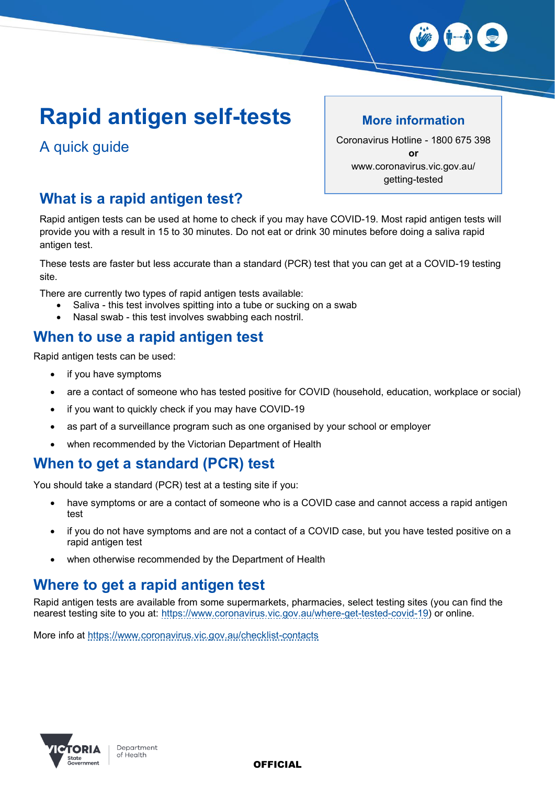

# **Rapid antigen self-tests**

A quick guide

#### **More information**

Coronavirus Hotline - 1800 675 398 **or** www.coronavirus.vic.gov.au/ getting-tested

## **What is a rapid antigen test?**

Rapid antigen tests can be used at home to check if you may have COVID-19. Most rapid antigen tests will provide you with a result in 15 to 30 minutes. Do not eat or drink 30 minutes before doing a saliva rapid antigen test.

These tests are faster but less accurate than a standard (PCR) test that you can get at a COVID-19 testing site.

There are currently two types of rapid antigen tests available:

- Saliva this test involves spitting into a tube or sucking on a swab
- Nasal swab this test involves swabbing each nostril.

#### **When to use a rapid antigen test**

Rapid antigen tests can be used:

- if you have symptoms
- are a contact of someone who has tested positive for COVID (household, education, workplace or social)
- if you want to quickly check if you may have COVID-19
- as part of a surveillance program such as one organised by your school or employer
- x when recommended by the Victorian Department of Health

#### **When to get a standard (PCR) test**

You should take a standard (PCR) test at a testing site if you:

- have symptoms or are a contact of someone who is a COVID case and cannot access a rapid antigen test
- if you do not have symptoms and are not a contact of a COVID case, but you have tested positive on a rapid antigen test
- when otherwise recommended by the Department of Health

## **Where to get a rapid antigen test**

Rapid antigen tests are available from some supermarkets, pharmacies, select testing sites (you can find the nearest testing site to you at: [https://www.coronavirus.vic.gov.au/where-get-tested-covid-19\)](https://www.coronavirus.vic.gov.au/where-get-tested-covid-19) or online.

More info at<https://www.coronavirus.vic.gov.au/checklist-contacts>



**OFFICIAL**